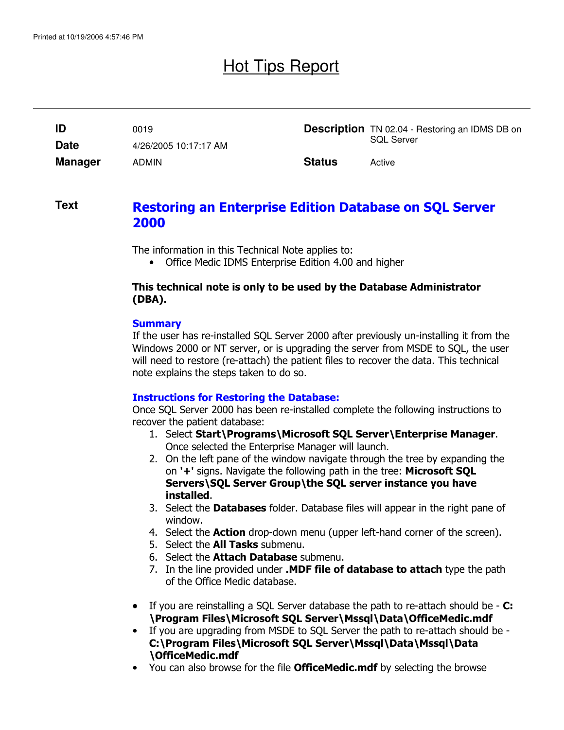# Hot Tips Report

| ID             | 0019                  |               | <b>Description</b> TN 02.04 - Restoring an IDMS DB on |
|----------------|-----------------------|---------------|-------------------------------------------------------|
| <b>Date</b>    | 4/26/2005 10:17:17 AM |               | <b>SQL Server</b>                                     |
| <b>Manager</b> | <b>ADMIN</b>          | <b>Status</b> | Active                                                |

### **Text**

### Restoring an Enterprise Edition Database on SQL Server 2000

The information in this Technical Note applies to:

• Office Medic IDMS Enterprise Edition 4.00 and higher

#### This technical note is only to be used by the Database Administrator (DBA).

#### **Summary**

If the user has re-installed SQL Server 2000 after previously un-installing it from the Windows 2000 or NT server, or is upgrading the server from MSDE to SQL, the user will need to restore (re-attach) the patient files to recover the data. This technical note explains the steps taken to do so.

#### Instructions for Restoring the Database:

Once SQL Server 2000 has been re-installed complete the following instructions to recover the patient database:

- 1. Select Start\Programs\Microsoft SQL Server\Enterprise Manager. Once selected the Enterprise Manager will launch.
- 2. On the left pane of the window navigate through the tree by expanding the on '+' signs. Navigate the following path in the tree: Microsoft SQL Servers\SQL Server Group\the SQL server instance you have installed.
- 3. Select the **Databases** folder. Database files will appear in the right pane of window.
- 4. Select the **Action** drop-down menu (upper left-hand corner of the screen).
- 5. Select the **All Tasks** submenu.
- 6. Select the **Attach Database** submenu.
- 7. In the line provided under .MDF file of database to attach type the path of the Office Medic database.
- If you are reinstalling a SQL Server database the path to re-attach should be **C:** \Program Files\Microsoft SQL Server\Mssql\Data\OfficeMedic.mdf
- If you are upgrading from MSDE to SQL Server the path to re-attach should be C:\Program Files\Microsoft SQL Server\Mssql\Data\Mssql\Data \OfficeMedic.mdf
- You can also browse for the file **OfficeMedic.mdf** by selecting the browse